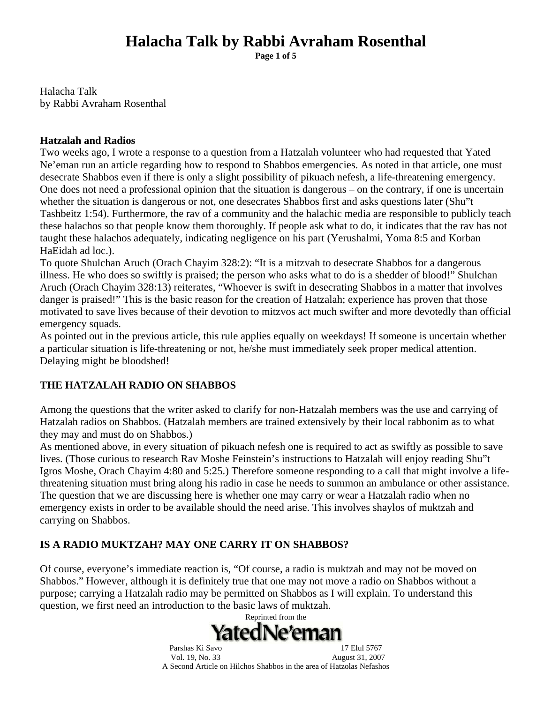**Page 1 of 5** 

Halacha Talk by Rabbi Avraham Rosenthal

#### **Hatzalah and Radios**

Two weeks ago, I wrote a response to a question from a Hatzalah volunteer who had requested that Yated Ne'eman run an article regarding how to respond to Shabbos emergencies. As noted in that article, one must desecrate Shabbos even if there is only a slight possibility of pikuach nefesh, a life-threatening emergency. One does not need a professional opinion that the situation is dangerous – on the contrary, if one is uncertain whether the situation is dangerous or not, one desecrates Shabbos first and asks questions later (Shu"t Tashbeitz 1:54). Furthermore, the rav of a community and the halachic media are responsible to publicly teach these halachos so that people know them thoroughly. If people ask what to do, it indicates that the rav has not taught these halachos adequately, indicating negligence on his part (Yerushalmi, Yoma 8:5 and Korban HaEidah ad loc.).

To quote Shulchan Aruch (Orach Chayim 328:2): "It is a mitzvah to desecrate Shabbos for a dangerous illness. He who does so swiftly is praised; the person who asks what to do is a shedder of blood!" Shulchan Aruch (Orach Chayim 328:13) reiterates, "Whoever is swift in desecrating Shabbos in a matter that involves danger is praised!" This is the basic reason for the creation of Hatzalah; experience has proven that those motivated to save lives because of their devotion to mitzvos act much swifter and more devotedly than official emergency squads.

As pointed out in the previous article, this rule applies equally on weekdays! If someone is uncertain whether a particular situation is life-threatening or not, he/she must immediately seek proper medical attention. Delaying might be bloodshed!

### **THE HATZALAH RADIO ON SHABBOS**

Among the questions that the writer asked to clarify for non-Hatzalah members was the use and carrying of Hatzalah radios on Shabbos. (Hatzalah members are trained extensively by their local rabbonim as to what they may and must do on Shabbos.)

As mentioned above, in every situation of pikuach nefesh one is required to act as swiftly as possible to save lives. (Those curious to research Rav Moshe Feinstein's instructions to Hatzalah will enjoy reading Shu"t Igros Moshe, Orach Chayim 4:80 and 5:25.) Therefore someone responding to a call that might involve a lifethreatening situation must bring along his radio in case he needs to summon an ambulance or other assistance. The question that we are discussing here is whether one may carry or wear a Hatzalah radio when no emergency exists in order to be available should the need arise. This involves shaylos of muktzah and carrying on Shabbos.

## **IS A RADIO MUKTZAH? MAY ONE CARRY IT ON SHABBOS?**

Of course, everyone's immediate reaction is, "Of course, a radio is muktzah and may not be moved on Shabbos." However, although it is definitely true that one may not move a radio on Shabbos without a purpose; carrying a Hatzalah radio may be permitted on Shabbos as I will explain. To understand this question, we first need an introduction to the basic laws of muktzah.

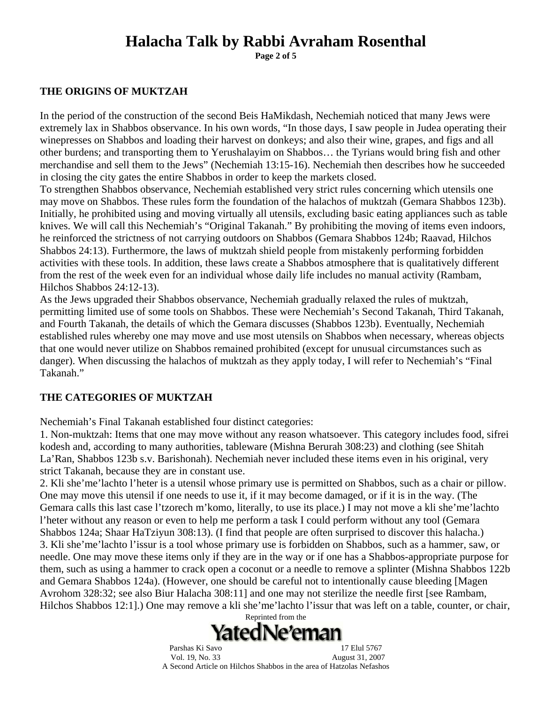**Page 2 of 5** 

#### **THE ORIGINS OF MUKTZAH**

In the period of the construction of the second Beis HaMikdash, Nechemiah noticed that many Jews were extremely lax in Shabbos observance. In his own words, "In those days, I saw people in Judea operating their winepresses on Shabbos and loading their harvest on donkeys; and also their wine, grapes, and figs and all other burdens; and transporting them to Yerushalayim on Shabbos… the Tyrians would bring fish and other merchandise and sell them to the Jews" (Nechemiah 13:15-16). Nechemiah then describes how he succeeded in closing the city gates the entire Shabbos in order to keep the markets closed.

To strengthen Shabbos observance, Nechemiah established very strict rules concerning which utensils one may move on Shabbos. These rules form the foundation of the halachos of muktzah (Gemara Shabbos 123b). Initially, he prohibited using and moving virtually all utensils, excluding basic eating appliances such as table knives. We will call this Nechemiah's "Original Takanah." By prohibiting the moving of items even indoors, he reinforced the strictness of not carrying outdoors on Shabbos (Gemara Shabbos 124b; Raavad, Hilchos Shabbos 24:13). Furthermore, the laws of muktzah shield people from mistakenly performing forbidden activities with these tools. In addition, these laws create a Shabbos atmosphere that is qualitatively different from the rest of the week even for an individual whose daily life includes no manual activity (Rambam, Hilchos Shabbos 24:12-13).

As the Jews upgraded their Shabbos observance, Nechemiah gradually relaxed the rules of muktzah, permitting limited use of some tools on Shabbos. These were Nechemiah's Second Takanah, Third Takanah, and Fourth Takanah, the details of which the Gemara discusses (Shabbos 123b). Eventually, Nechemiah established rules whereby one may move and use most utensils on Shabbos when necessary, whereas objects that one would never utilize on Shabbos remained prohibited (except for unusual circumstances such as danger). When discussing the halachos of muktzah as they apply today, I will refer to Nechemiah's "Final Takanah."

### **THE CATEGORIES OF MUKTZAH**

Nechemiah's Final Takanah established four distinct categories:

1. Non-muktzah: Items that one may move without any reason whatsoever. This category includes food, sifrei kodesh and, according to many authorities, tableware (Mishna Berurah 308:23) and clothing (see Shitah La'Ran, Shabbos 123b s.v. Barishonah). Nechemiah never included these items even in his original, very strict Takanah, because they are in constant use.

2. Kli she'me'lachto l'heter is a utensil whose primary use is permitted on Shabbos, such as a chair or pillow. One may move this utensil if one needs to use it, if it may become damaged, or if it is in the way. (The Gemara calls this last case l'tzorech m'komo, literally, to use its place.) I may not move a kli she'me'lachto l'heter without any reason or even to help me perform a task I could perform without any tool (Gemara Shabbos 124a; Shaar HaTziyun 308:13). (I find that people are often surprised to discover this halacha.) 3. Kli she'me'lachto l'issur is a tool whose primary use is forbidden on Shabbos, such as a hammer, saw, or needle. One may move these items only if they are in the way or if one has a Shabbos-appropriate purpose for them, such as using a hammer to crack open a coconut or a needle to remove a splinter (Mishna Shabbos 122b and Gemara Shabbos 124a). (However, one should be careful not to intentionally cause bleeding [Magen Avrohom 328:32; see also Biur Halacha 308:11] and one may not sterilize the needle first [see Rambam, Hilchos Shabbos 12:1].) One may remove a kli she'me'lachto l'issur that was left on a table, counter, or chair,

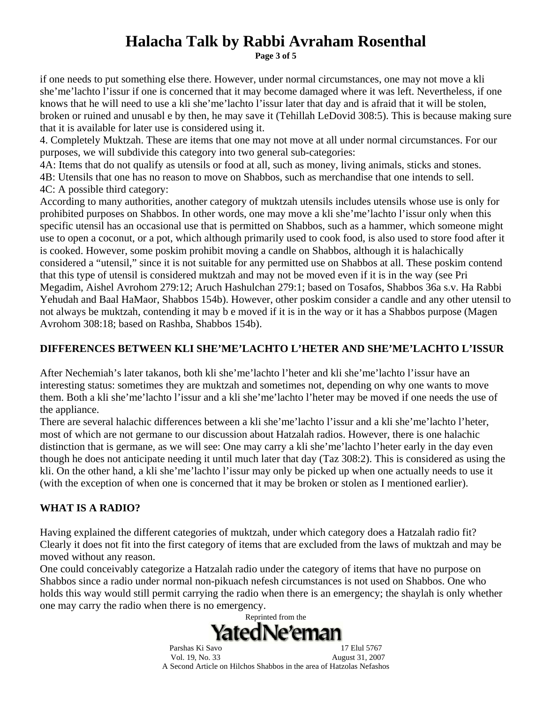**Page 3 of 5** 

if one needs to put something else there. However, under normal circumstances, one may not move a kli she'me'lachto l'issur if one is concerned that it may become damaged where it was left. Nevertheless, if one knows that he will need to use a kli she'me'lachto l'issur later that day and is afraid that it will be stolen, broken or ruined and unusabl e by then, he may save it (Tehillah LeDovid 308:5). This is because making sure that it is available for later use is considered using it.

4. Completely Muktzah. These are items that one may not move at all under normal circumstances. For our purposes, we will subdivide this category into two general sub-categories:

4A: Items that do not qualify as utensils or food at all, such as money, living animals, sticks and stones. 4B: Utensils that one has no reason to move on Shabbos, such as merchandise that one intends to sell. 4C: A possible third category:

According to many authorities, another category of muktzah utensils includes utensils whose use is only for prohibited purposes on Shabbos. In other words, one may move a kli she'me'lachto l'issur only when this specific utensil has an occasional use that is permitted on Shabbos, such as a hammer, which someone might use to open a coconut, or a pot, which although primarily used to cook food, is also used to store food after it is cooked. However, some poskim prohibit moving a candle on Shabbos, although it is halachically considered a "utensil," since it is not suitable for any permitted use on Shabbos at all. These poskim contend that this type of utensil is considered muktzah and may not be moved even if it is in the way (see Pri Megadim, Aishel Avrohom 279:12; Aruch Hashulchan 279:1; based on Tosafos, Shabbos 36a s.v. Ha Rabbi Yehudah and Baal HaMaor, Shabbos 154b). However, other poskim consider a candle and any other utensil to not always be muktzah, contending it may b e moved if it is in the way or it has a Shabbos purpose (Magen Avrohom 308:18; based on Rashba, Shabbos 154b).

## **DIFFERENCES BETWEEN KLI SHE'ME'LACHTO L'HETER AND SHE'ME'LACHTO L'ISSUR**

After Nechemiah's later takanos, both kli she'me'lachto l'heter and kli she'me'lachto l'issur have an interesting status: sometimes they are muktzah and sometimes not, depending on why one wants to move them. Both a kli she'me'lachto l'issur and a kli she'me'lachto l'heter may be moved if one needs the use of the appliance.

There are several halachic differences between a kli she'me'lachto l'issur and a kli she'me'lachto l'heter, most of which are not germane to our discussion about Hatzalah radios. However, there is one halachic distinction that is germane, as we will see: One may carry a kli she'me'lachto l'heter early in the day even though he does not anticipate needing it until much later that day (Taz 308:2). This is considered as using the kli. On the other hand, a kli she'me'lachto l'issur may only be picked up when one actually needs to use it (with the exception of when one is concerned that it may be broken or stolen as I mentioned earlier).

## **WHAT IS A RADIO?**

Having explained the different categories of muktzah, under which category does a Hatzalah radio fit? Clearly it does not fit into the first category of items that are excluded from the laws of muktzah and may be moved without any reason.

One could conceivably categorize a Hatzalah radio under the category of items that have no purpose on Shabbos since a radio under normal non-pikuach nefesh circumstances is not used on Shabbos. One who holds this way would still permit carrying the radio when there is an emergency; the shaylah is only whether one may carry the radio when there is no emergency.

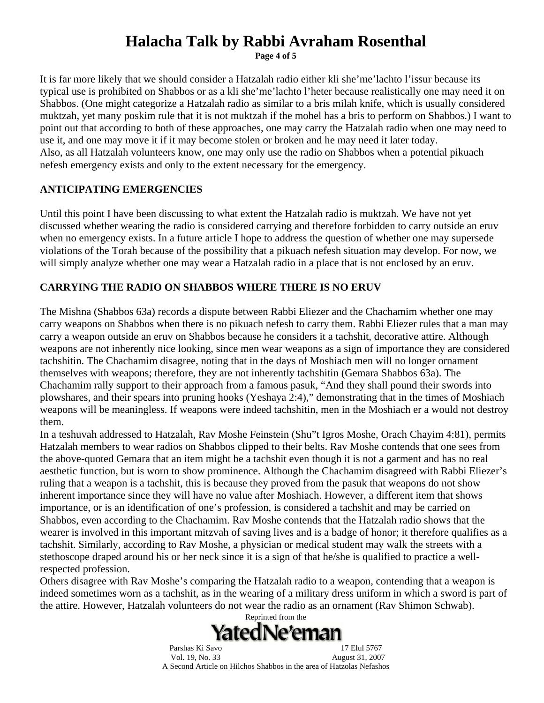**Page 4 of 5** 

It is far more likely that we should consider a Hatzalah radio either kli she'me'lachto l'issur because its typical use is prohibited on Shabbos or as a kli she'me'lachto l'heter because realistically one may need it on Shabbos. (One might categorize a Hatzalah radio as similar to a bris milah knife, which is usually considered muktzah, yet many poskim rule that it is not muktzah if the mohel has a bris to perform on Shabbos.) I want to point out that according to both of these approaches, one may carry the Hatzalah radio when one may need to use it, and one may move it if it may become stolen or broken and he may need it later today. Also, as all Hatzalah volunteers know, one may only use the radio on Shabbos when a potential pikuach nefesh emergency exists and only to the extent necessary for the emergency.

### **ANTICIPATING EMERGENCIES**

Until this point I have been discussing to what extent the Hatzalah radio is muktzah. We have not yet discussed whether wearing the radio is considered carrying and therefore forbidden to carry outside an eruv when no emergency exists. In a future article I hope to address the question of whether one may supersede violations of the Torah because of the possibility that a pikuach nefesh situation may develop. For now, we will simply analyze whether one may wear a Hatzalah radio in a place that is not enclosed by an eruv.

### **CARRYING THE RADIO ON SHABBOS WHERE THERE IS NO ERUV**

The Mishna (Shabbos 63a) records a dispute between Rabbi Eliezer and the Chachamim whether one may carry weapons on Shabbos when there is no pikuach nefesh to carry them. Rabbi Eliezer rules that a man may carry a weapon outside an eruv on Shabbos because he considers it a tachshit, decorative attire. Although weapons are not inherently nice looking, since men wear weapons as a sign of importance they are considered tachshitin. The Chachamim disagree, noting that in the days of Moshiach men will no longer ornament themselves with weapons; therefore, they are not inherently tachshitin (Gemara Shabbos 63a). The Chachamim rally support to their approach from a famous pasuk, "And they shall pound their swords into plowshares, and their spears into pruning hooks (Yeshaya 2:4)," demonstrating that in the times of Moshiach weapons will be meaningless. If weapons were indeed tachshitin, men in the Moshiach er a would not destroy them.

In a teshuvah addressed to Hatzalah, Rav Moshe Feinstein (Shu"t Igros Moshe, Orach Chayim 4:81), permits Hatzalah members to wear radios on Shabbos clipped to their belts. Rav Moshe contends that one sees from the above-quoted Gemara that an item might be a tachshit even though it is not a garment and has no real aesthetic function, but is worn to show prominence. Although the Chachamim disagreed with Rabbi Eliezer's ruling that a weapon is a tachshit, this is because they proved from the pasuk that weapons do not show inherent importance since they will have no value after Moshiach. However, a different item that shows importance, or is an identification of one's profession, is considered a tachshit and may be carried on Shabbos, even according to the Chachamim. Rav Moshe contends that the Hatzalah radio shows that the wearer is involved in this important mitzvah of saving lives and is a badge of honor; it therefore qualifies as a tachshit. Similarly, according to Rav Moshe, a physician or medical student may walk the streets with a stethoscope draped around his or her neck since it is a sign of that he/she is qualified to practice a wellrespected profession.

Others disagree with Rav Moshe's comparing the Hatzalah radio to a weapon, contending that a weapon is indeed sometimes worn as a tachshit, as in the wearing of a military dress uniform in which a sword is part of the attire. However, Hatzalah volunteers do not wear the radio as an ornament (Rav Shimon Schwab).